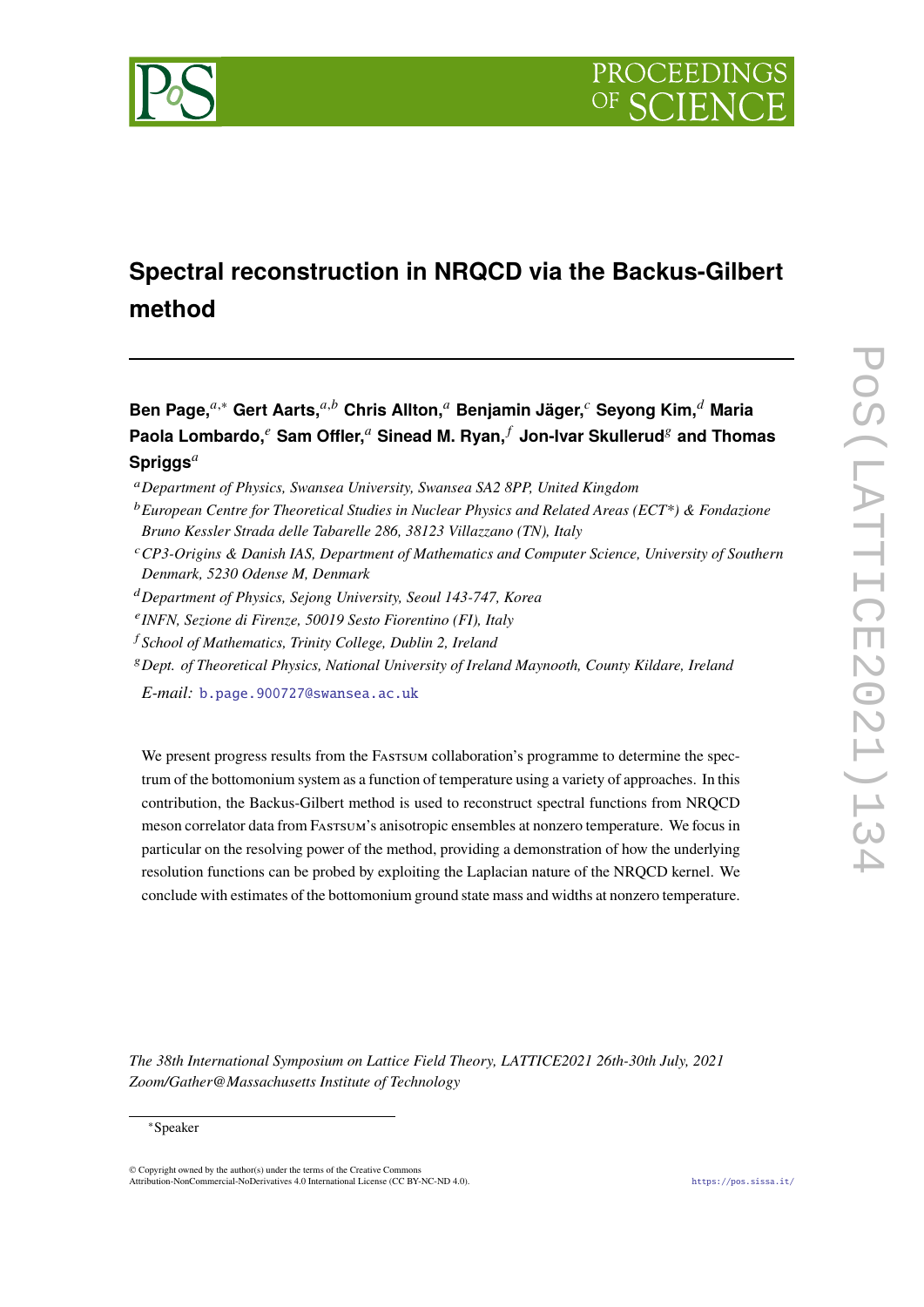

# **Spectral reconstruction in NRQCD via the Backus-Gilbert method**

**Ben Page,**<sup>*a*,∗</sup> Gert Aarts,<sup>*a,b*</sup> Chris Allton,<sup>*a*</sup> Benjamin Jäger,<sup>*c*</sup> Seyong Kim,<sup>*d*</sup> Maria **Paola Lombardo, <sup>***e***</sup> Sam Offler,<sup>***a***</sup> Sinead M. Ryan,** *f* **Jon-Ivar Skullerud<sup>8</sup> and Thomas Spriggs**

- *CP3-Origins & Danish IAS, Department of Mathematics and Computer Science, University of Southern Denmark, 5230 Odense M, Denmark*
- *Department of Physics, Sejong University, Seoul 143-747, Korea*
- *INFN, Sezione di Firenze, 50019 Sesto Fiorentino (FI), Italy*
- *School of Mathematics, Trinity College, Dublin 2, Ireland*
- *Dept. of Theoretical Physics, National University of Ireland Maynooth, County Kildare, Ireland*

*E-mail:* [b.page.900727@swansea.ac.uk](mailto:b.page.900727@swansea.ac.uk)

We present progress results from the Fastsum collaboration's programme to determine the spectrum of the bottomonium system as a function of temperature using a variety of approaches. In this contribution, the Backus-Gilbert method is used to reconstruct spectral functions from NRQCD meson correlator data from Fastsum's anisotropic ensembles at nonzero temperature. We focus in particular on the resolving power of the method, providing a demonstration of how the underlying resolution functions can be probed by exploiting the Laplacian nature of the NRQCD kernel. We conclude with estimates of the bottomonium ground state mass and widths at nonzero temperature.

*The 38th International Symposium on Lattice Field Theory, LATTICE2021 26th-30th July, 2021 Zoom/Gather@Massachusetts Institute of Technology*

*Department of Physics, Swansea University, Swansea SA2 8PP, United Kingdom*

*European Centre for Theoretical Studies in Nuclear Physics and Related Areas (ECT\*) & Fondazione Bruno Kessler Strada delle Tabarelle 286, 38123 Villazzano (TN), Italy*

<sup>∗</sup>Speaker

<sup>©</sup> Copyright owned by the author(s) under the terms of the Creative Commons Attribution-NonCommercial-NoDerivatives 4.0 International License (CC BY-NC-ND 4.0). <https://pos.sissa.it/>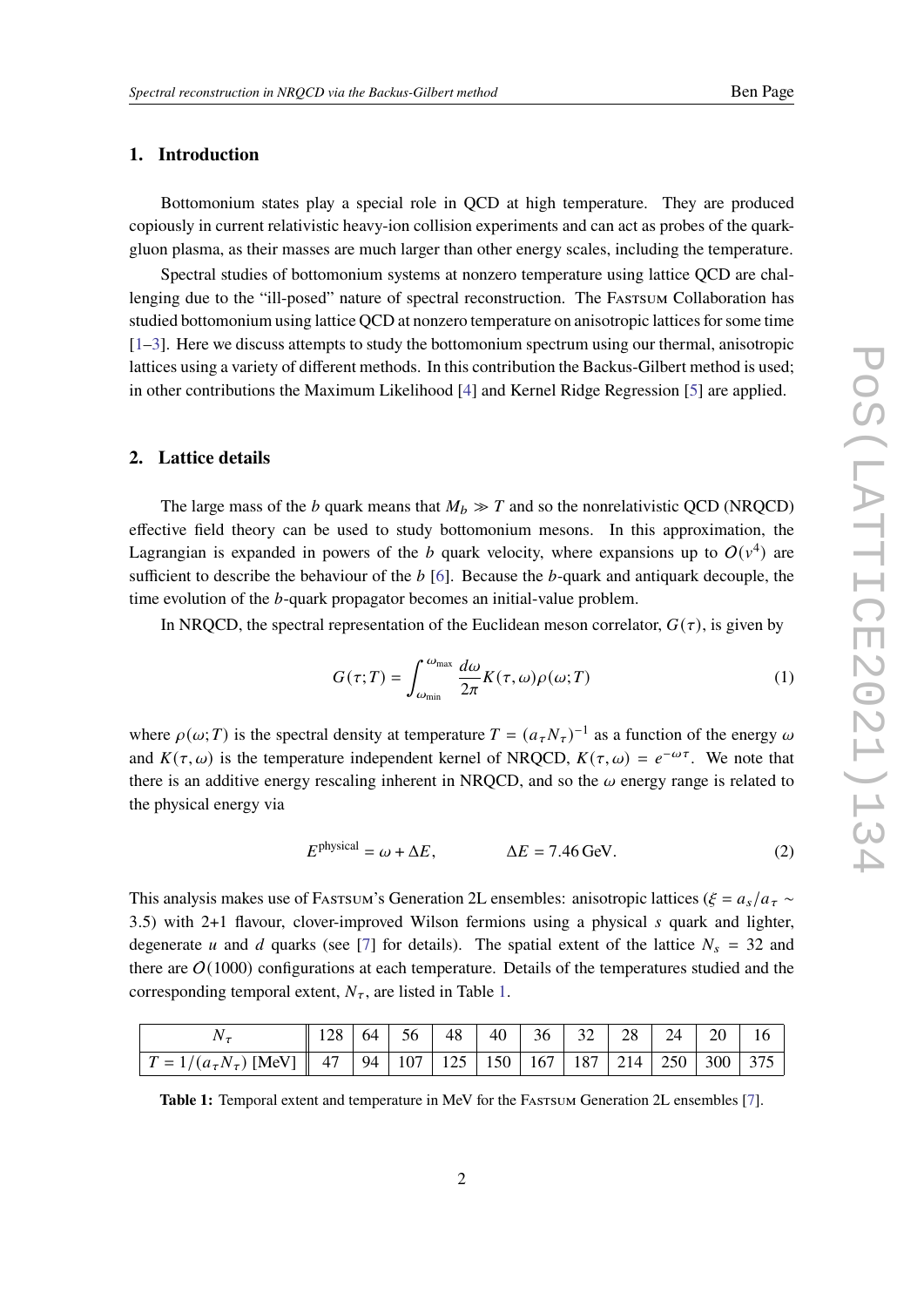# **1. Introduction**

Bottomonium states play a special role in QCD at high temperature. They are produced copiously in current relativistic heavy-ion collision experiments and can act as probes of the quarkgluon plasma, as their masses are much larger than other energy scales, including the temperature.

Spectral studies of bottomonium systems at nonzero temperature using lattice QCD are challenging due to the "ill-posed" nature of spectral reconstruction. The FASTSUM Collaboration has studied bottomonium using lattice QCD at nonzero temperature on anisotropic lattices for some time [\[1](#page-7-0)[–3\]](#page-8-0). Here we discuss attempts to study the bottomonium spectrum using our thermal, anisotropic lattices using a variety of different methods. In this contribution the Backus-Gilbert method is used; in other contributions the Maximum Likelihood [\[4\]](#page-8-1) and Kernel Ridge Regression [\[5\]](#page-8-2) are applied.

# **2. Lattice details**

The large mass of the b quark means that  $M_b \gg T$  and so the nonrelativistic QCD (NRQCD) effective field theory can be used to study bottomonium mesons. In this approximation, the Lagrangian is expanded in powers of the b quark velocity, where expansions up to  $O(v^4)$  are sufficient to describe the behaviour of the  $b$  [\[6\]](#page-8-3). Because the  $b$ -quark and antiquark decouple, the time evolution of the  $b$ -quark propagator becomes an initial-value problem.

In NRQCD, the spectral representation of the Euclidean meson correlator,  $G(\tau)$ , is given by

<span id="page-1-1"></span>
$$
G(\tau;T) = \int_{\omega_{\min}}^{\omega_{\max}} \frac{d\omega}{2\pi} K(\tau,\omega)\rho(\omega;T)
$$
 (1)

where  $\rho(\omega;T)$  is the spectral density at temperature  $T = (a_T N_\tau)^{-1}$  as a function of the energy  $\omega$ and  $K(\tau, \omega)$  is the temperature independent kernel of NRQCD,  $K(\tau, \omega) = e^{-\omega \tau}$ . We note that there is an additive energy rescaling inherent in NRQCD, and so the  $\omega$  energy range is related to the physical energy via

<span id="page-1-2"></span>
$$
Ephysical = \omega + \Delta E, \qquad \Delta E = 7.46 \,\text{GeV}.
$$
 (2)

This analysis makes use of Fastsum's Generation 2L ensembles: anisotropic lattices ( $\xi = a_s/a_{\tau} \sim$ 3.5) with 2+1 flavour, clover-improved Wilson fermions using a physical  $s$  quark and lighter, degenerate *u* and *d* quarks (see [\[7\]](#page-8-4) for details). The spatial extent of the lattice  $N_s = 32$  and there are  $O(1000)$  configurations at each temperature. Details of the temperatures studied and the corresponding temporal extent,  $N_{\tau}$ , are listed in Table [1.](#page-1-0)

<span id="page-1-0"></span>

|                                                                                                     | $\parallel$ 128   64   56   48   40   36   32   28   24   20   16 |  |  |  |  |  |
|-----------------------------------------------------------------------------------------------------|-------------------------------------------------------------------|--|--|--|--|--|
| $T = 1/(a_{\tau}N_{\tau})$ [MeV] $  $ 47   94   107   125   150   167   187   214   250   300   375 |                                                                   |  |  |  |  |  |

**Table 1:** Temporal extent and temperature in MeV for the FASTSUM Generation 2L ensembles [\[7\]](#page-8-4).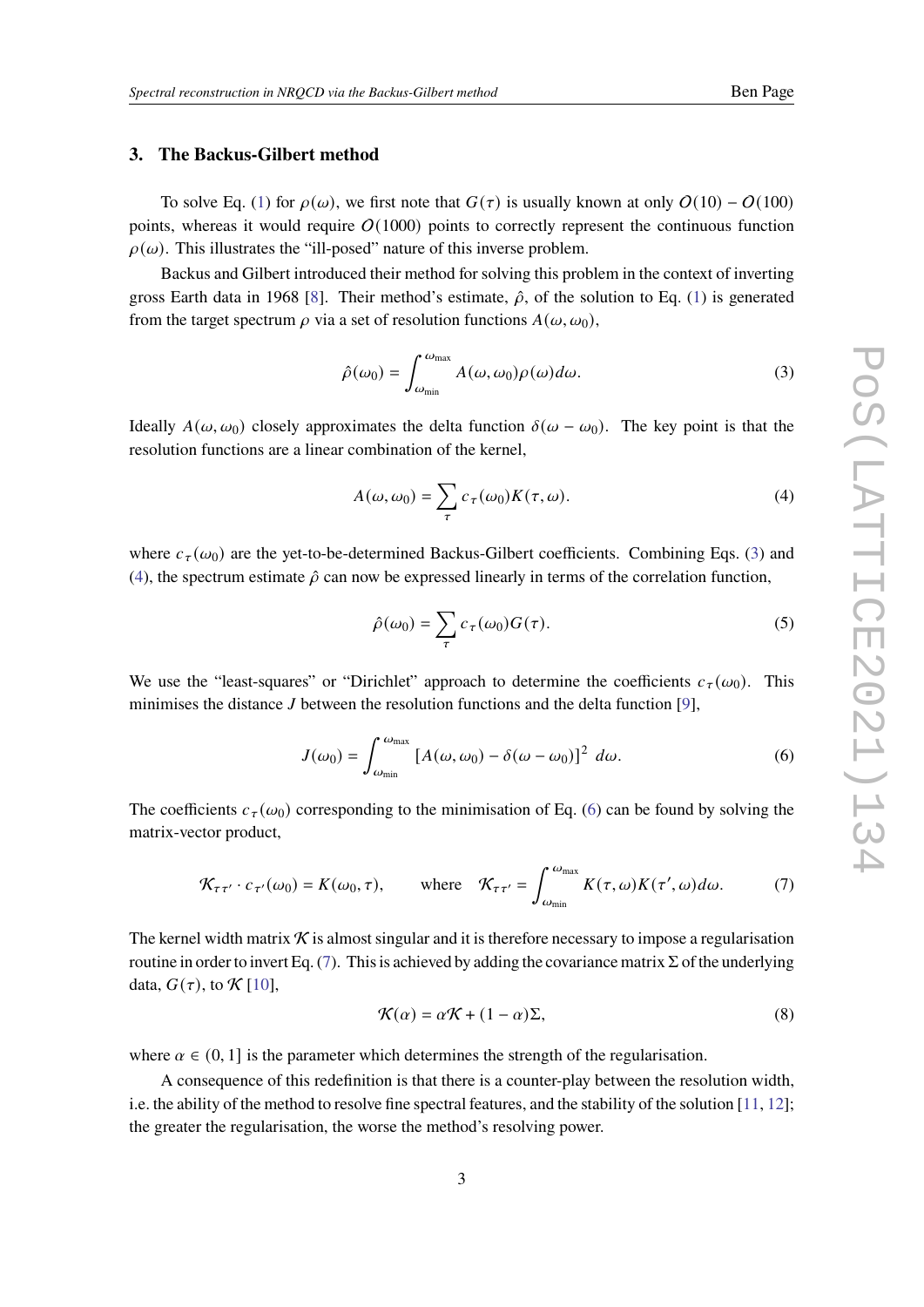# <span id="page-2-5"></span>**3. The Backus-Gilbert method**

To solve Eq. [\(1\)](#page-1-1) for  $\rho(\omega)$ , we first note that  $G(\tau)$  is usually known at only  $O(10) - O(100)$ points, whereas it would require  $O(1000)$  points to correctly represent the continuous function  $\rho(\omega)$ . This illustrates the "ill-posed" nature of this inverse problem.

Backus and Gilbert introduced their method for solving this problem in the context of inverting gross Earth data in 1968 [\[8\]](#page-8-5). Their method's estimate,  $\hat{\rho}$ , of the solution to Eq. [\(1\)](#page-1-1) is generated from the target spectrum  $\rho$  via a set of resolution functions  $A(\omega, \omega_0)$ ,

<span id="page-2-0"></span>
$$
\hat{\rho}(\omega_0) = \int_{\omega_{\min}}^{\omega_{\max}} A(\omega, \omega_0) \rho(\omega) d\omega.
$$
 (3)

Ideally  $A(\omega, \omega_0)$  closely approximates the delta function  $\delta(\omega - \omega_0)$ . The key point is that the resolution functions are a linear combination of the kernel,

<span id="page-2-1"></span>
$$
A(\omega, \omega_0) = \sum_{\tau} c_{\tau}(\omega_0) K(\tau, \omega).
$$
 (4)

where  $c_{\tau}(\omega_0)$  are the yet-to-be-determined Backus-Gilbert coefficients. Combining Eqs. [\(3\)](#page-2-0) and [\(4\)](#page-2-1), the spectrum estimate  $\hat{\rho}$  can now be expressed linearly in terms of the correlation function,

$$
\hat{\rho}(\omega_0) = \sum_{\tau} c_{\tau}(\omega_0) G(\tau). \tag{5}
$$

We use the "least-squares" or "Dirichlet" approach to determine the coefficients  $c_{\tau}(\omega_0)$ . This minimises the distance  $J$  between the resolution functions and the delta function [\[9\]](#page-8-6),

<span id="page-2-2"></span>
$$
J(\omega_0) = \int_{\omega_{\min}}^{\omega_{\max}} \left[ A(\omega, \omega_0) - \delta(\omega - \omega_0) \right]^2 d\omega.
$$
 (6)

The coefficients  $c_{\tau}(\omega_0)$  corresponding to the minimisation of Eq. [\(6\)](#page-2-2) can be found by solving the matrix-vector product,

<span id="page-2-3"></span>
$$
\mathcal{K}_{\tau\tau'} \cdot c_{\tau'}(\omega_0) = K(\omega_0, \tau), \quad \text{where} \quad \mathcal{K}_{\tau\tau'} = \int_{\omega_{\text{min}}}^{\omega_{\text{max}}} K(\tau, \omega) K(\tau', \omega) d\omega. \tag{7}
$$

The kernel width matrix  $\mathcal K$  is almost singular and it is therefore necessary to impose a regularisation routine in order to invert Eq. [\(7\)](#page-2-3). This is achieved by adding the covariance matrix  $\Sigma$  of the underlying data,  $G(\tau)$ , to  $\mathcal{K}$  [\[10\]](#page-8-7),

<span id="page-2-4"></span>
$$
\mathcal{K}(\alpha) = \alpha \mathcal{K} + (1 - \alpha) \Sigma,
$$
\n(8)

where  $\alpha \in (0, 1]$  is the parameter which determines the strength of the regularisation.

A consequence of this redefinition is that there is a counter-play between the resolution width, i.e. the ability of the method to resolve fine spectral features, and the stability of the solution [\[11,](#page-8-8) [12\]](#page-8-9); the greater the regularisation, the worse the method's resolving power.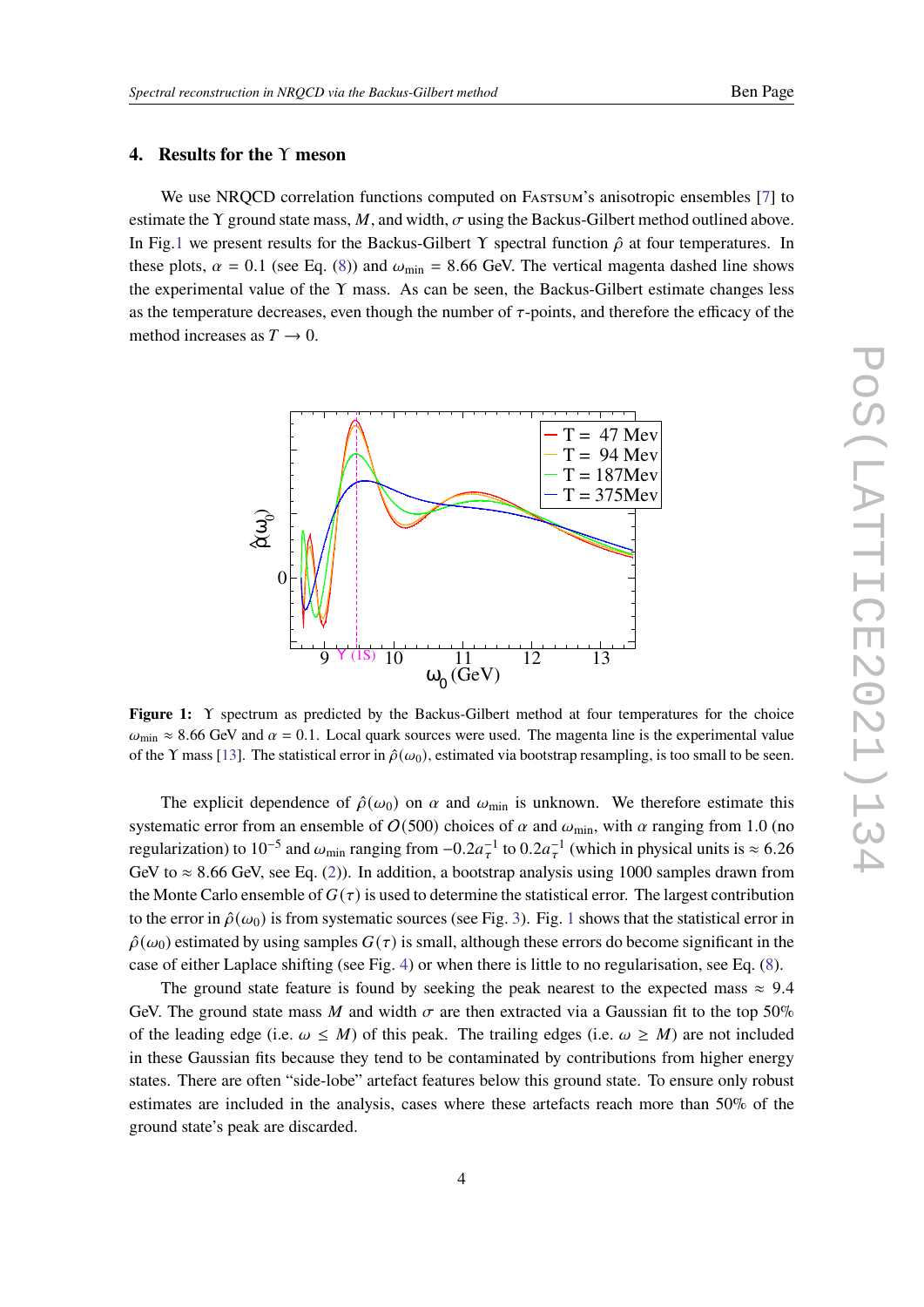## <span id="page-3-1"></span>**4. Results for the** Υ **meson**

We use NROCD correlation functions computed on Fastsum's anisotropic ensembles [\[7\]](#page-8-4) to estimate the Y ground state mass, M, and width,  $\sigma$  using the Backus-Gilbert method outlined above. In Fig[.1](#page-3-0) we present results for the Backus-Gilbert Y spectral function  $\hat{\rho}$  at four temperatures. In these plots,  $\alpha = 0.1$  (see Eq. [\(8\)](#page-2-4)) and  $\omega_{\text{min}} = 8.66$  GeV. The vertical magenta dashed line shows the experimental value of the  $\Upsilon$  mass. As can be seen, the Backus-Gilbert estimate changes less as the temperature decreases, even though the number of  $\tau$ -points, and therefore the efficacy of the method increases as  $T \rightarrow 0$ .

<span id="page-3-0"></span>

**Figure 1:** Υ spectrum as predicted by the Backus-Gilbert method at four temperatures for the choice  $\omega_{\rm min} \approx 8.66$  GeV and  $\alpha = 0.1$ . Local quark sources were used. The magenta line is the experimental value of the Y mass [\[13\]](#page-8-10). The statistical error in  $\hat{\rho}(\omega_0)$ , estimated via bootstrap resampling, is too small to be seen.

The explicit dependence of  $\hat{\rho}(\omega_0)$  on  $\alpha$  and  $\omega_{\text{min}}$  is unknown. We therefore estimate this systematic error from an ensemble of  $O(500)$  choices of  $\alpha$  and  $\omega_{\text{min}}$ , with  $\alpha$  ranging from 1.0 (no regularization) to 10<sup>-5</sup> and  $\omega_{min}$  ranging from  $-0.2a_{\tau}^{-1}$  to  $0.2a_{\tau}^{-1}$  (which in physical units is ≈ 6.26 GeV to  $\approx 8.66$  GeV, see Eq. [\(2\)](#page-1-2)). In addition, a bootstrap analysis using 1000 samples drawn from the Monte Carlo ensemble of  $G(\tau)$  is used to determine the statistical error. The largest contribution to the error in  $\hat{\rho}(\omega_0)$  is from systematic sources (see Fig. [3\)](#page-5-0). Fig. [1](#page-3-0) shows that the statistical error in  $\hat{\rho}(\omega_0)$  estimated by using samples  $G(\tau)$  is small, although these errors do become significant in the case of either Laplace shifting (see Fig. [4\)](#page-6-0) or when there is little to no regularisation, see Eq. [\(8\)](#page-2-4).

The ground state feature is found by seeking the peak nearest to the expected mass  $\approx 9.4$ GeV. The ground state mass M and width  $\sigma$  are then extracted via a Gaussian fit to the top 50% of the leading edge (i.e.  $\omega \leq M$ ) of this peak. The trailing edges (i.e.  $\omega \geq M$ ) are not included in these Gaussian fits because they tend to be contaminated by contributions from higher energy states. There are often "side-lobe" artefact features below this ground state. To ensure only robust estimates are included in the analysis, cases where these artefacts reach more than 50% of the ground state's peak are discarded.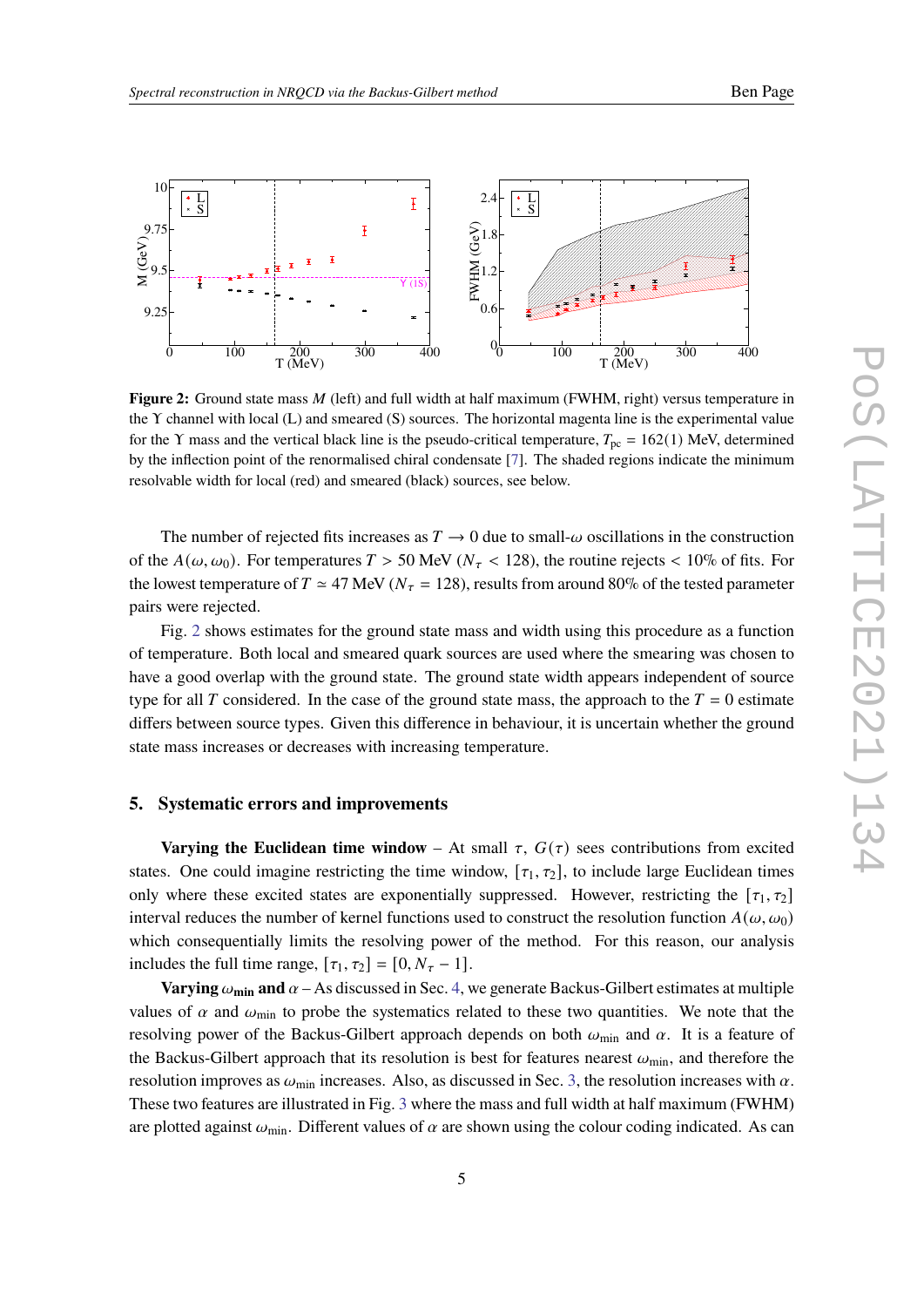<span id="page-4-0"></span>

**Figure 2:** Ground state mass M (left) and full width at half maximum (FWHM, right) versus temperature in the Υ channel with local (L) and smeared (S) sources. The horizontal magenta line is the experimental value for the Y mass and the vertical black line is the pseudo-critical temperature,  $T_{\text{pc}} = 162(1)$  MeV, determined by the inflection point of the renormalised chiral condensate [\[7\]](#page-8-4). The shaded regions indicate the minimum resolvable width for local (red) and smeared (black) sources, see below.

The number of rejected fits increases as  $T \to 0$  due to small- $\omega$  oscillations in the construction of the  $A(\omega, \omega_0)$ . For temperatures  $T > 50$  MeV ( $N_\tau < 128$ ), the routine rejects  $< 10\%$  of fits. For the lowest temperature of  $T \simeq 47$  MeV ( $N<sub>\tau</sub> = 128$ ), results from around 80% of the tested parameter pairs were rejected.

Fig. [2](#page-4-0) shows estimates for the ground state mass and width using this procedure as a function of temperature. Both local and smeared quark sources are used where the smearing was chosen to have a good overlap with the ground state. The ground state width appears independent of source type for all T considered. In the case of the ground state mass, the approach to the  $T = 0$  estimate differs between source types. Given this difference in behaviour, it is uncertain whether the ground state mass increases or decreases with increasing temperature.

#### **5. Systematic errors and improvements**

**Varying the Euclidean time window** – At small  $\tau$ ,  $G(\tau)$  sees contributions from excited states. One could imagine restricting the time window,  $[\tau_1, \tau_2]$ , to include large Euclidean times only where these excited states are exponentially suppressed. However, restricting the  $[\tau_1, \tau_2]$ interval reduces the number of kernel functions used to construct the resolution function  $A(\omega, \omega_0)$ which consequentially limits the resolving power of the method. For this reason, our analysis includes the full time range,  $[\tau_1, \tau_2] = [0, N_\tau - 1]$ .

**Varying**  $\omega_{\text{min}}$  and  $\alpha$  – As discussed in Sec. [4,](#page-3-1) we generate Backus-Gilbert estimates at multiple values of  $\alpha$  and  $\omega_{\text{min}}$  to probe the systematics related to these two quantities. We note that the resolving power of the Backus-Gilbert approach depends on both  $\omega_{\rm min}$  and  $\alpha$ . It is a feature of the Backus-Gilbert approach that its resolution is best for features nearest  $\omega_{\rm min}$ , and therefore the resolution improves as  $\omega_{\text{min}}$  increases. Also, as discussed in Sec. [3,](#page-2-5) the resolution increases with  $\alpha$ . These two features are illustrated in Fig. [3](#page-5-0) where the mass and full width at half maximum (FWHM) are plotted against  $\omega_{\min}$ . Different values of  $\alpha$  are shown using the colour coding indicated. As can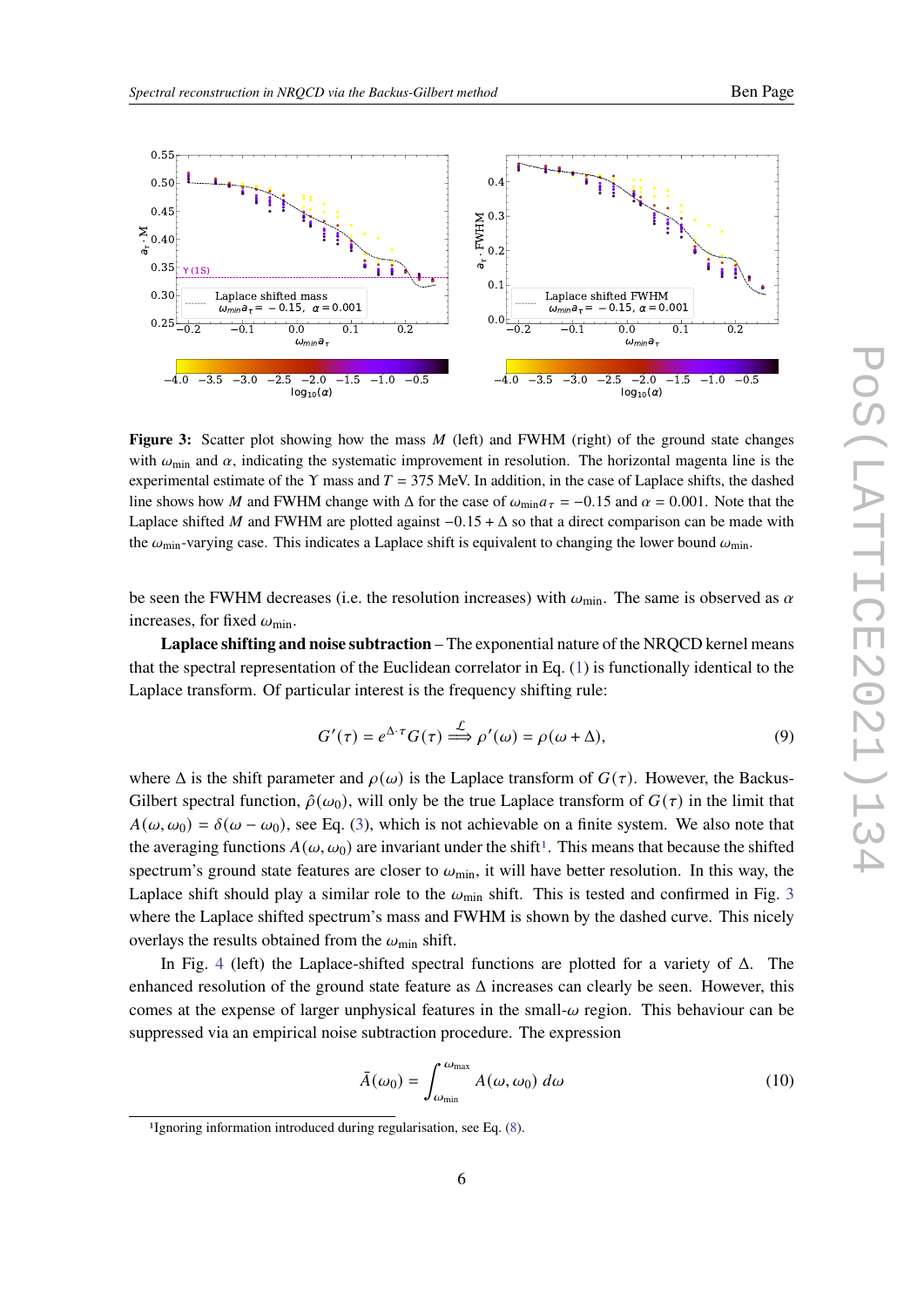<span id="page-5-0"></span>

**Figure 3:** Scatter plot showing how the mass M (left) and FWHM (right) of the ground state changes with  $\omega_{\min}$  and  $\alpha$ , indicating the systematic improvement in resolution. The horizontal magenta line is the experimental estimate of the Y mass and  $T = 375$  MeV. In addition, in the case of Laplace shifts, the dashed line shows how M and FWHM change with  $\Delta$  for the case of  $\omega_{\text{min}} a_{\tau} = -0.15$  and  $\alpha = 0.001$ . Note that the Laplace shifted M and FWHM are plotted against  $-0.15 + \Delta$  so that a direct comparison can be made with the  $\omega_{\text{min}}$ -varying case. This indicates a Laplace shift is equivalent to changing the lower bound  $\omega_{\text{min}}$ .

be seen the FWHM decreases (i.e. the resolution increases) with  $\omega_{\rm min}$ . The same is observed as  $\alpha$ increases, for fixed  $\omega_{\min}$ .

**Laplace shifting and noise subtraction** – The exponential nature of the NRQCD kernel means that the spectral representation of the Euclidean correlator in Eq. [\(1\)](#page-1-1) is functionally identical to the Laplace transform. Of particular interest is the frequency shifting rule:

$$
G'(\tau) = e^{\Delta \cdot \tau} G(\tau) \stackrel{\mathcal{L}}{\Longrightarrow} \rho'(\omega) = \rho(\omega + \Delta), \tag{9}
$$

where  $\Delta$  is the shift parameter and  $\rho(\omega)$  is the Laplace transform of  $G(\tau)$ . However, the Backus-Gilbert spectral function,  $\hat{\rho}(\omega_0)$ , will only be the true Laplace transform of  $G(\tau)$  in the limit that  $A(\omega, \omega_0) = \delta(\omega - \omega_0)$ , see Eq. [\(3\)](#page-2-0), which is not achievable on a finite system. We also note that the averaging functions  $A(\omega, \omega_0)$  are invariant under the shift<sup>[1](#page-5-1)</sup>. This means that because the shifted spectrum's ground state features are closer to  $\omega_{\text{min}}$ , it will have better resolution. In this way, the Laplace shift should play a similar role to the  $\omega_{\text{min}}$  shift. This is tested and confirmed in Fig. [3](#page-5-0) where the Laplace shifted spectrum's mass and FWHM is shown by the dashed curve. This nicely overlays the results obtained from the  $\omega_{\rm min}$  shift.

In Fig. [4](#page-6-0) (left) the Laplace-shifted spectral functions are plotted for a variety of  $\Delta$ . The enhanced resolution of the ground state feature as  $\Delta$  increases can clearly be seen. However, this comes at the expense of larger unphysical features in the small- $\omega$  region. This behaviour can be suppressed via an empirical noise subtraction procedure. The expression

$$
\bar{A}(\omega_0) = \int_{\omega_{\min}}^{\omega_{\max}} A(\omega, \omega_0) \, d\omega \tag{10}
$$

<span id="page-5-1"></span><sup>1</sup>Ignoring information introduced during regularisation, see Eq. [\(8\)](#page-2-4).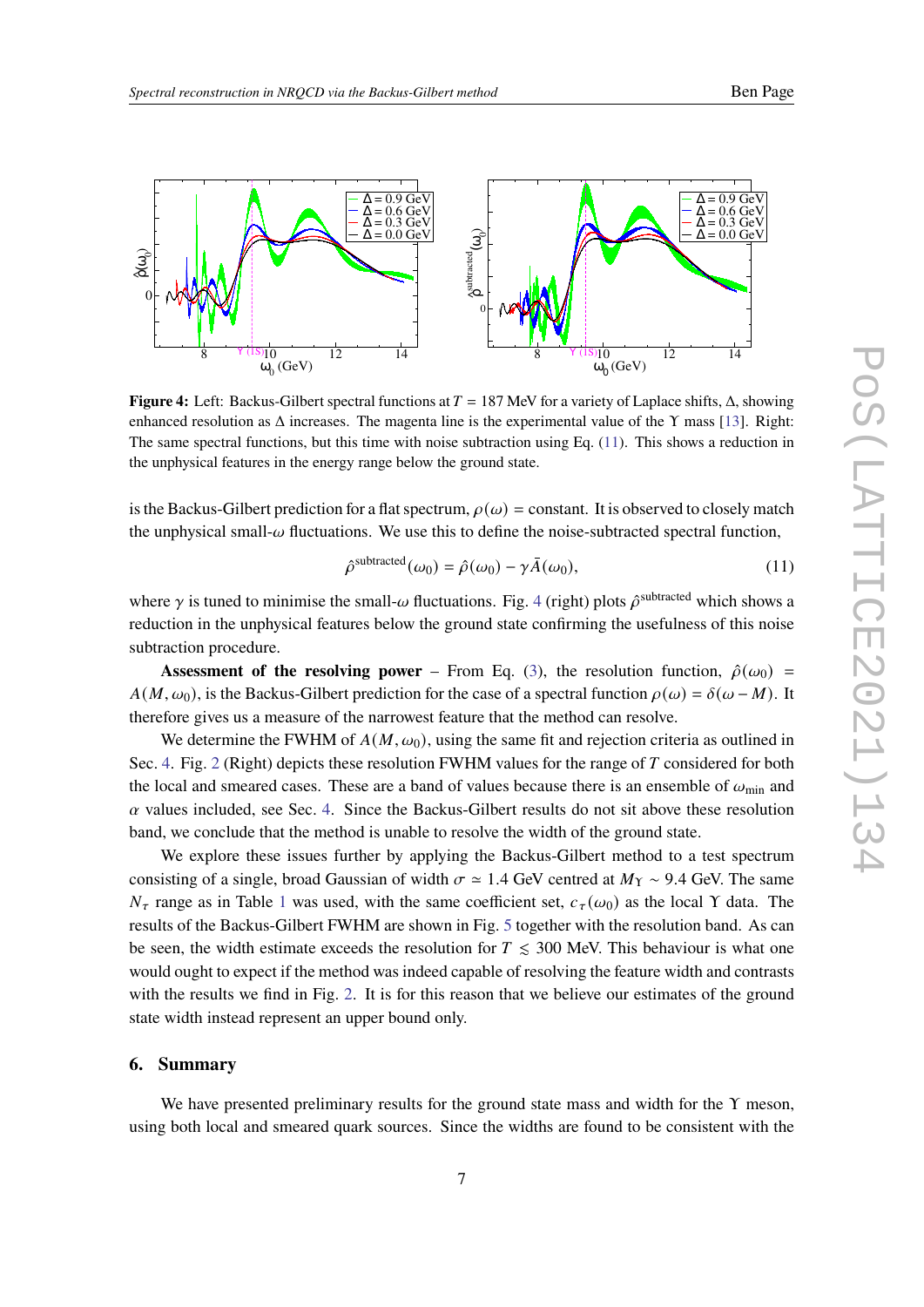<span id="page-6-0"></span>

**Figure 4:** Left: Backus-Gilbert spectral functions at  $T = 187$  MeV for a variety of Laplace shifts, Δ, showing enhanced resolution as  $\Delta$  increases. The magenta line is the experimental value of the Y mass [\[13\]](#page-8-10). Right: The same spectral functions, but this time with noise subtraction using Eq. [\(11\)](#page-6-1). This shows a reduction in the unphysical features in the energy range below the ground state.

is the Backus-Gilbert prediction for a flat spectrum,  $\rho(\omega)$  = constant. It is observed to closely match the unphysical small- $\omega$  fluctuations. We use this to define the noise-subtracted spectral function,

<span id="page-6-1"></span>
$$
\hat{\rho}^{\text{subtracted}}(\omega_0) = \hat{\rho}(\omega_0) - \gamma \bar{A}(\omega_0),\tag{11}
$$

where  $\gamma$  is tuned to minimise the small- $\omega$  fluctuations. Fig. [4](#page-6-0) (right) plots  $\hat{\rho}^{\text{subtracted}}$  which shows a reduction in the unphysical features below the ground state confirming the usefulness of this noise subtraction procedure.

**Assessment of the resolving power** – From Eq. [\(3\)](#page-2-0), the resolution function,  $\hat{\rho}(\omega_0)$  =  $A(M, \omega_0)$ , is the Backus-Gilbert prediction for the case of a spectral function  $\rho(\omega) = \delta(\omega - M)$ . It therefore gives us a measure of the narrowest feature that the method can resolve.

We determine the FWHM of  $A(M, \omega_0)$ , using the same fit and rejection criteria as outlined in Sec. [4.](#page-3-1) Fig. [2](#page-4-0) (Right) depicts these resolution FWHM values for the range of  $T$  considered for both the local and smeared cases. These are a band of values because there is an ensemble of  $\omega_{\rm min}$  and  $\alpha$  values included, see Sec. [4.](#page-3-1) Since the Backus-Gilbert results do not sit above these resolution band, we conclude that the method is unable to resolve the width of the ground state.

We explore these issues further by applying the Backus-Gilbert method to a test spectrum consisting of a single, broad Gaussian of width  $\sigma \approx 1.4$  GeV centred at  $M_{\Upsilon} \sim 9.4$  GeV. The same  $N_{\tau}$  range as in Table [1](#page-1-0) was used, with the same coefficient set,  $c_{\tau}(\omega_0)$  as the local Y data. The results of the Backus-Gilbert FWHM are shown in Fig. [5](#page-7-1) together with the resolution band. As can be seen, the width estimate exceeds the resolution for  $T \leq 300$  MeV. This behaviour is what one would ought to expect if the method was indeed capable of resolving the feature width and contrasts with the results we find in Fig. [2.](#page-4-0) It is for this reason that we believe our estimates of the ground state width instead represent an upper bound only.

### **6. Summary**

We have presented preliminary results for the ground state mass and width for the  $\Upsilon$  meson, using both local and smeared quark sources. Since the widths are found to be consistent with the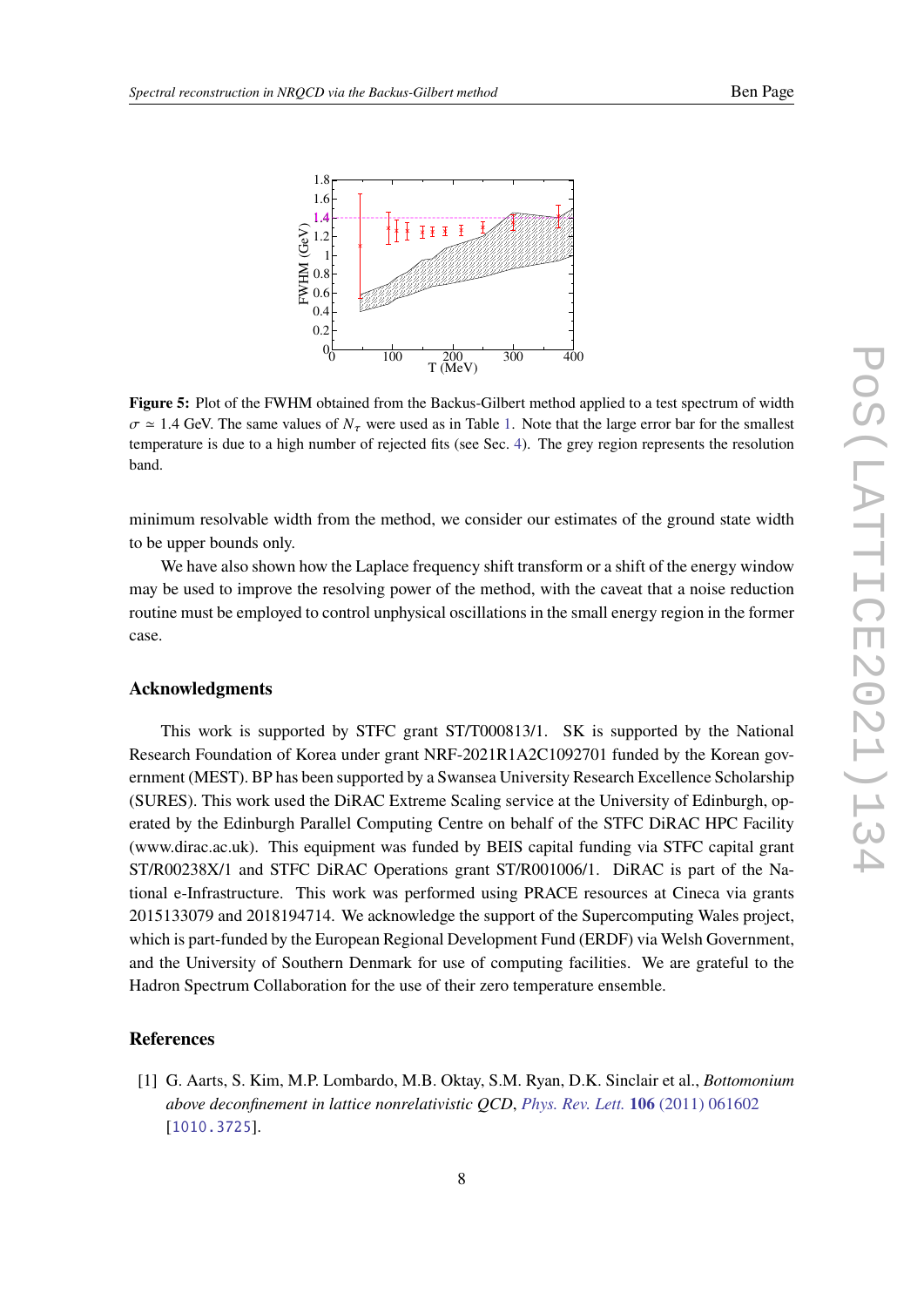<span id="page-7-1"></span>

**Figure 5:** Plot of the FWHM obtained from the Backus-Gilbert method applied to a test spectrum of width  $\sigma \simeq 1.4$  $\sigma \simeq 1.4$  $\sigma \simeq 1.4$  GeV. The same values of  $N_{\tau}$  were used as in Table 1. Note that the large error bar for the smallest temperature is due to a high number of rejected fits (see Sec. [4\)](#page-3-1). The grey region represents the resolution band.

minimum resolvable width from the method, we consider our estimates of the ground state width to be upper bounds only.

We have also shown how the Laplace frequency shift transform or a shift of the energy window may be used to improve the resolving power of the method, with the caveat that a noise reduction routine must be employed to control unphysical oscillations in the small energy region in the former case.

## **Acknowledgments**

This work is supported by STFC grant ST/T000813/1. SK is supported by the National Research Foundation of Korea under grant NRF-2021R1A2C1092701 funded by the Korean government (MEST). BP has been supported by a Swansea University Research Excellence Scholarship (SURES). This work used the DiRAC Extreme Scaling service at the University of Edinburgh, operated by the Edinburgh Parallel Computing Centre on behalf of the STFC DiRAC HPC Facility (www.dirac.ac.uk). This equipment was funded by BEIS capital funding via STFC capital grant ST/R00238X/1 and STFC DiRAC Operations grant ST/R001006/1. DiRAC is part of the National e-Infrastructure. This work was performed using PRACE resources at Cineca via grants 2015133079 and 2018194714. We acknowledge the support of the Supercomputing Wales project, which is part-funded by the European Regional Development Fund (ERDF) via Welsh Government, and the University of Southern Denmark for use of computing facilities. We are grateful to the Hadron Spectrum Collaboration for the use of their zero temperature ensemble.

### **References**

<span id="page-7-0"></span>[1] G. Aarts, S. Kim, M.P. Lombardo, M.B. Oktay, S.M. Ryan, D.K. Sinclair et al., *Bottomonium above deconfinement in lattice nonrelativistic QCD*, *[Phys. Rev. Lett.](https://doi.org/10.1103/PhysRevLett.106.061602)* **106** (2011) 061602 [[1010.3725](https://arxiv.org/abs/1010.3725)].